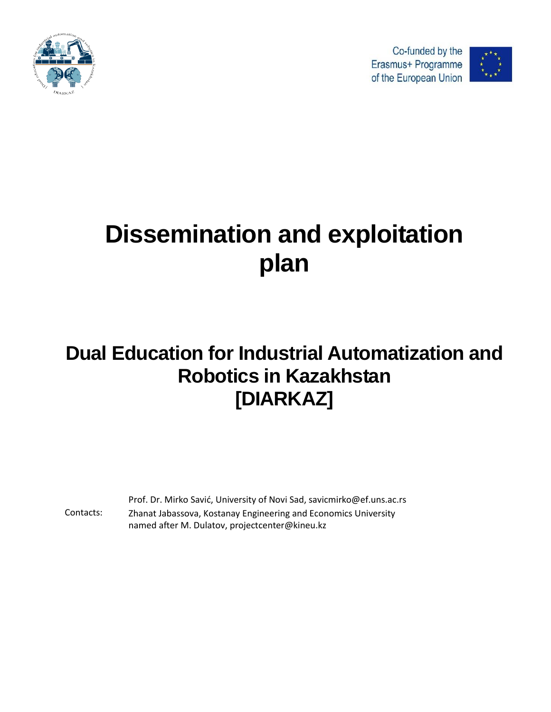

Co-funded by the Erasmus+ Programme of the European Union



# **Dissemination and exploitation plan**

## **Dual Education for Industrial Automatization and Robotics in Kazakhstan [DIARKAZ]**

Contacts: Prof. Dr. Mirko Savić, University of Novi Sad, savicmirko@ef.uns.ac.rs Zhanat Jabassova, Kostanay Engineering and Economics University named after M. Dulatov, projectcenter@kineu.kz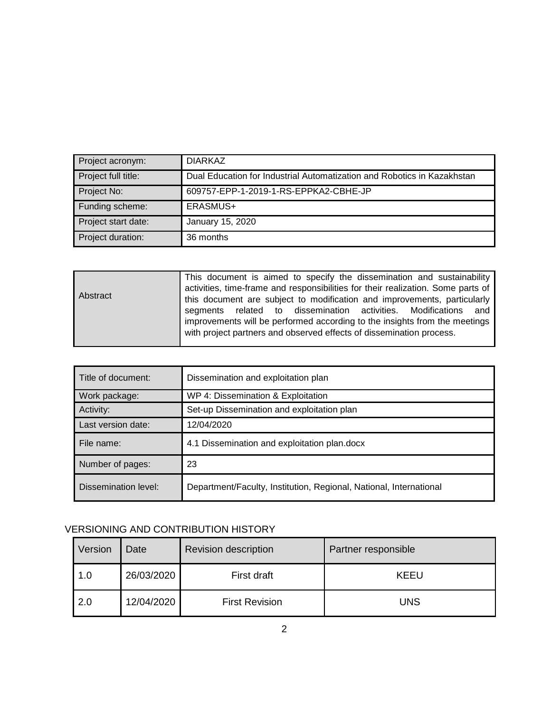| Project acronym:    | <b>DIARKAZ</b>                                                          |
|---------------------|-------------------------------------------------------------------------|
| Project full title: | Dual Education for Industrial Automatization and Robotics in Kazakhstan |
| Project No:         | 609757-EPP-1-2019-1-RS-EPPKA2-CBHE-JP                                   |
| Funding scheme:     | ERASMUS+                                                                |
| Project start date: | January 15, 2020                                                        |
| Project duration:   | 36 months                                                               |

| <b>Abstract</b> | This document is aimed to specify the dissemination and sustainability<br>activities, time-frame and responsibilities for their realization. Some parts of<br>this document are subject to modification and improvements, particularly<br>segments related to dissemination activities. Modifications and<br>improvements will be performed according to the insights from the meetings |
|-----------------|-----------------------------------------------------------------------------------------------------------------------------------------------------------------------------------------------------------------------------------------------------------------------------------------------------------------------------------------------------------------------------------------|
|                 | with project partners and observed effects of dissemination process.                                                                                                                                                                                                                                                                                                                    |

| Title of document:   | Dissemination and exploitation plan                                |  |
|----------------------|--------------------------------------------------------------------|--|
| Work package:        | WP 4: Dissemination & Exploitation                                 |  |
| Activity:            | Set-up Dissemination and exploitation plan                         |  |
| Last version date:   | 12/04/2020                                                         |  |
| File name:           | 4.1 Dissemination and exploitation plan.docx                       |  |
| Number of pages:     | 23                                                                 |  |
| Dissemination level: | Department/Faculty, Institution, Regional, National, International |  |

#### VERSIONING AND CONTRIBUTION HISTORY

| Version | Date       | <b>Revision description</b> | Partner responsible |
|---------|------------|-----------------------------|---------------------|
| 1.0     | 26/03/2020 | First draft                 | <b>KEEU</b>         |
| 2.0     | 12/04/2020 | <b>First Revision</b>       | UNS                 |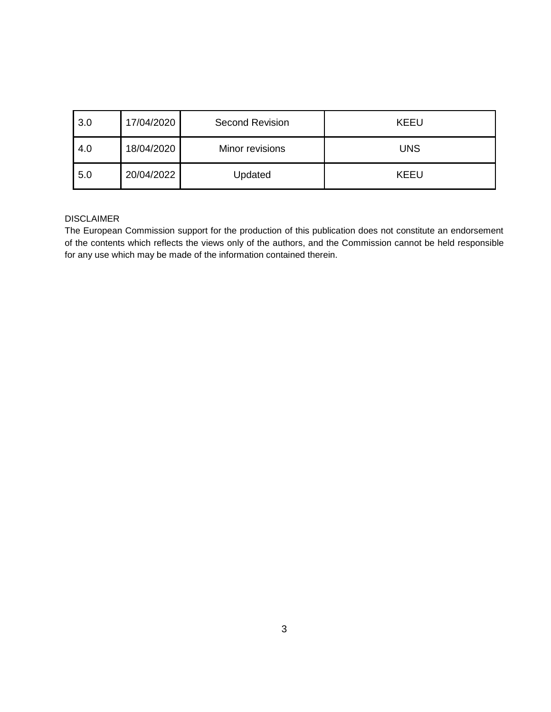| 3.0 | 17/04/2020 | <b>Second Revision</b> | <b>KEEU</b> |
|-----|------------|------------------------|-------------|
| 4.0 | 18/04/2020 | Minor revisions        | <b>UNS</b>  |
| 5.0 | 20/04/2022 | Updated                | <b>KEEU</b> |

#### DISCLAIMER

The European Commission support for the production of this publication does not constitute an endorsement of the contents which reflects the views only of the authors, and the Commission cannot be held responsible for any use which may be made of the information contained therein.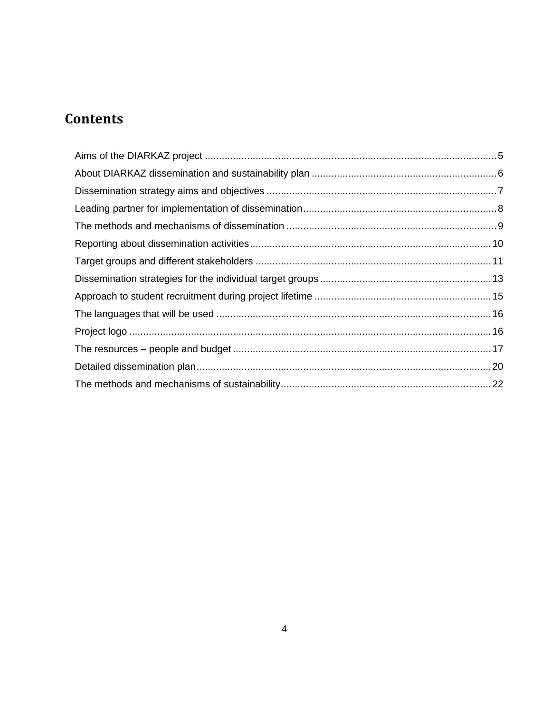## **Contents**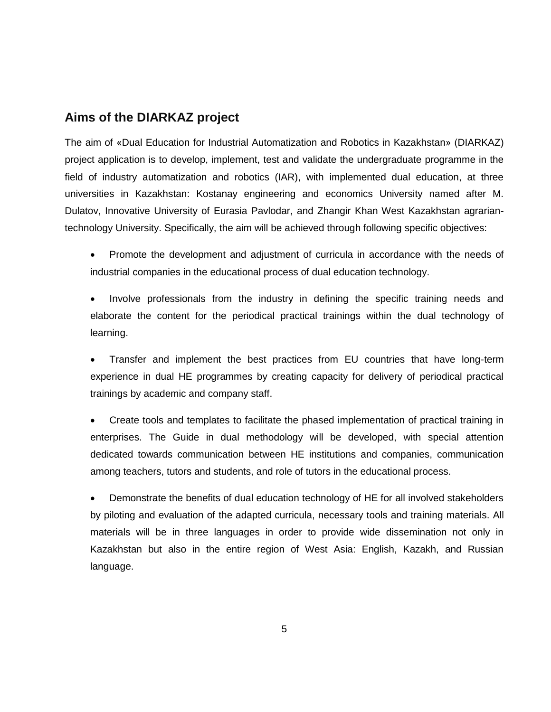## <span id="page-4-0"></span>**Aims of the DIARKAZ project**

The aim of «Dual Education for Industrial Automatization and Robotics in Kazakhstan» (DIARKAZ) project application is to develop, implement, test and validate the undergraduate programme in the field of industry automatization and robotics (IAR), with implemented dual education, at three universities in Kazakhstan: Kostanay engineering and economics University named after M. Dulatov, Innovative University of Eurasia Pavlodar, and Zhangir Khan West Kazakhstan agrariantechnology University. Specifically, the aim will be achieved through following specific objectives:

- Promote the development and adjustment of curricula in accordance with the needs of industrial companies in the educational process of dual education technology.
- Involve professionals from the industry in defining the specific training needs and elaborate the content for the periodical practical trainings within the dual technology of learning.

 Transfer and implement the best practices from EU countries that have long-term experience in dual HE programmes by creating capacity for delivery of periodical practical trainings by academic and company staff.

 Create tools and templates to facilitate the phased implementation of practical training in enterprises. The Guide in dual methodology will be developed, with special attention dedicated towards communication between HE institutions and companies, communication among teachers, tutors and students, and role of tutors in the educational process.

 Demonstrate the benefits of dual education technology of HE for all involved stakeholders by piloting and evaluation of the adapted curricula, necessary tools and training materials. All materials will be in three languages in order to provide wide dissemination not only in Kazakhstan but also in the entire region of West Asia: English, Kazakh, and Russian language.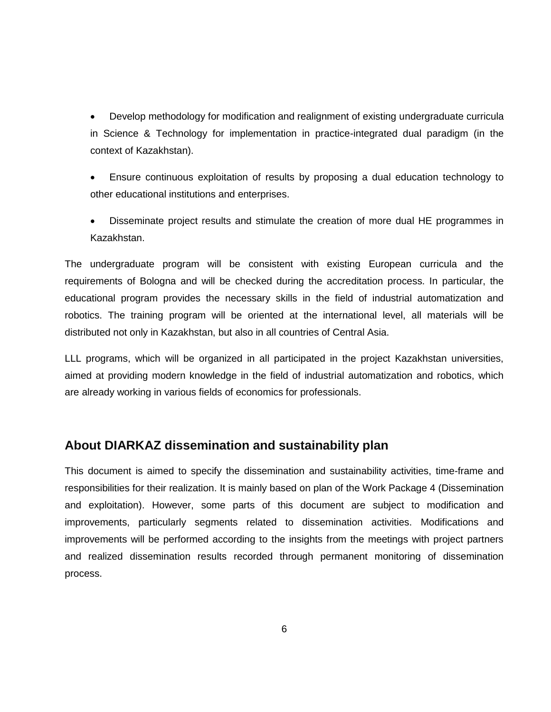Develop methodology for modification and realignment of existing undergraduate curricula in Science & Technology for implementation in practice-integrated dual paradigm (in the context of Kazakhstan).

- Ensure continuous exploitation of results by proposing a dual education technology to other educational institutions and enterprises.
- Disseminate project results and stimulate the creation of more dual HE programmes in Kazakhstan.

The undergraduate program will be consistent with existing European curricula and the requirements of Bologna and will be checked during the accreditation process. In particular, the educational program provides the necessary skills in the field of industrial automatization and robotics. The training program will be oriented at the international level, all materials will be distributed not only in Kazakhstan, but also in all countries of Central Asia.

LLL programs, which will be organized in all participated in the project Kazakhstan universities, aimed at providing modern knowledge in the field of industrial automatization and robotics, which are already working in various fields of economics for professionals.

#### <span id="page-5-0"></span>**About DIARKAZ dissemination and sustainability plan**

This document is aimed to specify the dissemination and sustainability activities, time-frame and responsibilities for their realization. It is mainly based on plan of the Work Package 4 (Dissemination and exploitation). However, some parts of this document are subject to modification and improvements, particularly segments related to dissemination activities. Modifications and improvements will be performed according to the insights from the meetings with project partners and realized dissemination results recorded through permanent monitoring of dissemination process.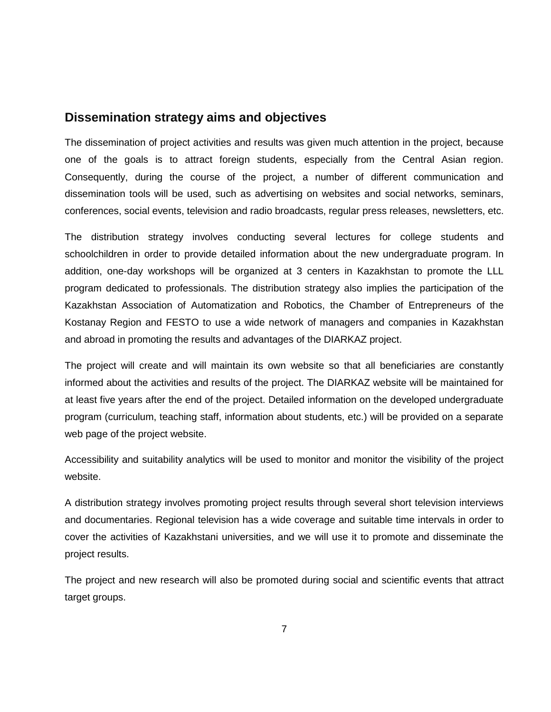#### <span id="page-6-0"></span>**Dissemination strategy aims and objectives**

The dissemination of project activities and results was given much attention in the project, because one of the goals is to attract foreign students, especially from the Central Asian region. Consequently, during the course of the project, a number of different communication and dissemination tools will be used, such as advertising on websites and social networks, seminars, conferences, social events, television and radio broadcasts, regular press releases, newsletters, etc.

The distribution strategy involves conducting several lectures for college students and schoolchildren in order to provide detailed information about the new undergraduate program. In addition, one-day workshops will be organized at 3 centers in Kazakhstan to promote the LLL program dedicated to professionals. The distribution strategy also implies the participation of the Kazakhstan Association of Automatization and Robotics, the Chamber of Entrepreneurs of the Kostanay Region and FESTO to use a wide network of managers and companies in Kazakhstan and abroad in promoting the results and advantages of the DIARKAZ project.

The project will create and will maintain its own website so that all beneficiaries are constantly informed about the activities and results of the project. The DIARKAZ website will be maintained for at least five years after the end of the project. Detailed information on the developed undergraduate program (curriculum, teaching staff, information about students, etc.) will be provided on a separate web page of the project website.

Accessibility and suitability analytics will be used to monitor and monitor the visibility of the project website.

A distribution strategy involves promoting project results through several short television interviews and documentaries. Regional television has a wide coverage and suitable time intervals in order to cover the activities of Kazakhstani universities, and we will use it to promote and disseminate the project results.

The project and new research will also be promoted during social and scientific events that attract target groups.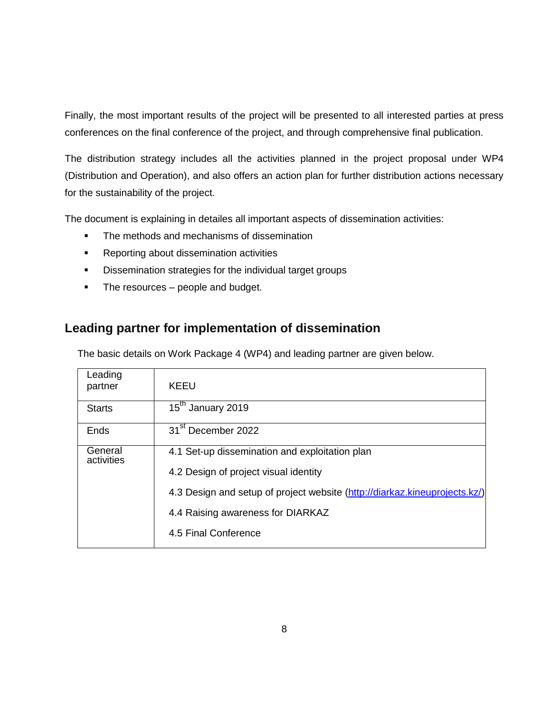Finally, the most important results of the project will be presented to all interested parties at press conferences on the final conference of the project, and through comprehensive final publication.

The distribution strategy includes all the activities planned in the project proposal under WP4 (Distribution and Operation), and also offers an action plan for further distribution actions necessary for the sustainability of the project.

The document is explaining in detailes all important aspects of dissemination activities:

- The methods and mechanisms of dissemination
- **Reporting about dissemination activities**
- **Dissemination strategies for the individual target groups**
- The resources people and budget.

## <span id="page-7-0"></span>**Leading partner for implementation of dissemination**

The basic details on Work Package 4 (WP4) and leading partner are given below.

| Leading<br>partner    | KEEU                                                                       |
|-----------------------|----------------------------------------------------------------------------|
| <b>Starts</b>         | 15 <sup>th</sup> January 2019                                              |
| Ends                  | 31 <sup>st</sup> December 2022                                             |
| General<br>activities | 4.1 Set-up dissemination and exploitation plan                             |
|                       | 4.2 Design of project visual identity                                      |
|                       | 4.3 Design and setup of project website (http://diarkaz.kineuprojects.kz/) |
|                       | 4.4 Raising awareness for DIARKAZ                                          |
|                       | 4.5 Final Conference                                                       |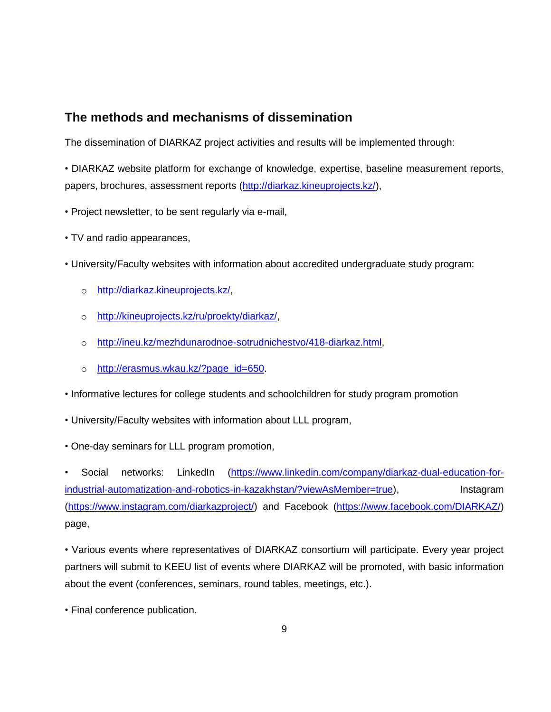## <span id="page-8-0"></span>**The methods and mechanisms of dissemination**

The dissemination of DIARKAZ project activities and results will be implemented through:

• DIARKAZ website platform for exchange of knowledge, expertise, baseline measurement reports, papers, brochures, assessment reports [\(http://diarkaz.kineuprojects.kz/\)](http://diarkaz.kineuprojects.kz/),

- Project newsletter, to be sent regularly via e-mail,
- TV and radio appearances,
- University/Faculty websites with information about accredited undergraduate study program:
	- o [http://diarkaz.kineuprojects.kz/,](http://diarkaz.kineuprojects.kz/)
	- o [http://kineuprojects.kz/ru/proekty/diarkaz/,](http://kineuprojects.kz/ru/proekty/diarkaz/)
	- o [http://ineu.kz/mezhdunarodnoe-sotrudnichestvo/418-diarkaz.html,](http://ineu.kz/mezhdunarodnoe-sotrudnichestvo/418-diarkaz.html)
	- o [http://erasmus.wkau.kz/?page\\_id=650.](http://erasmus.wkau.kz/?page_id=650)
- Informative lectures for college students and schoolchildren for study program promotion
- University/Faculty websites with information about LLL program,
- One-day seminars for LLL program promotion,

• Social networks: LinkedIn [\(https://www.linkedin.com/company/diarkaz-dual-education-for](https://www.linkedin.com/company/diarkaz-dual-education-for-industrial-automatization-and-robotics-in-kazakhstan/?viewAsMember=true)[industrial-automatization-and-robotics-in-kazakhstan/?viewAsMember=true\)](https://www.linkedin.com/company/diarkaz-dual-education-for-industrial-automatization-and-robotics-in-kazakhstan/?viewAsMember=true), lnstagram [\(https://www.instagram.com/diarkazproject/\)](https://www.instagram.com/diarkazproject/) and Facebook [\(https://www.facebook.com/DIARKAZ/\)](https://www.facebook.com/DIARKAZ/) page,

• Various events where representatives of DIARKAZ consortium will participate. Every year project partners will submit to KEEU list of events where DIARKAZ will be promoted, with basic information about the event (conferences, seminars, round tables, meetings, etc.).

• Final conference publication.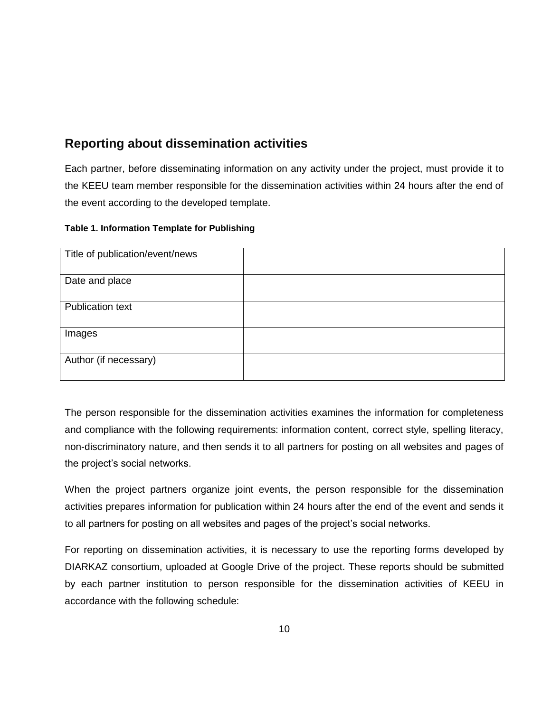## <span id="page-9-0"></span>**Reporting about dissemination activities**

Each partner, before disseminating information on any activity under the project, must provide it to the KEEU team member responsible for the dissemination activities within 24 hours after the end of the event according to the developed template.

#### **Table 1. Information Template for Publishing**

| Title of publication/event/news |  |
|---------------------------------|--|
| Date and place                  |  |
| <b>Publication text</b>         |  |
| Images                          |  |
| Author (if necessary)           |  |

The person responsible for the dissemination activities examines the information for completeness and compliance with the following requirements: information content, correct style, spelling literacy, non-discriminatory nature, and then sends it to all partners for posting on all websites and pages of the project's social networks.

When the project partners organize joint events, the person responsible for the dissemination activities prepares information for publication within 24 hours after the end of the event and sends it to all partners for posting on all websites and pages of the project's social networks.

For reporting on dissemination activities, it is necessary to use the reporting forms developed by DIARKAZ consortium, uploaded at Google Drive of the project. These reports should be submitted by each partner institution to person responsible for the dissemination activities of KEEU in accordance with the following schedule: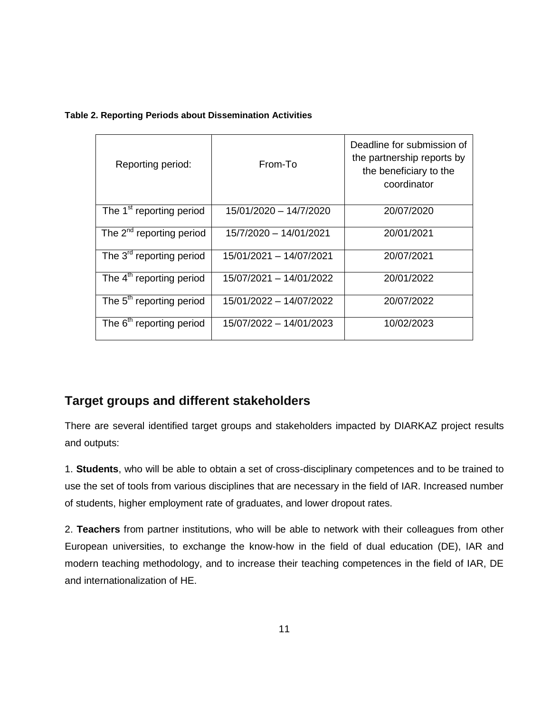#### **Table 2. Reporting Periods about Dissemination Activities**

| Reporting period:                    | From-To                 | Deadline for submission of<br>the partnership reports by<br>the beneficiary to the<br>coordinator |
|--------------------------------------|-------------------------|---------------------------------------------------------------------------------------------------|
| The 1 <sup>st</sup> reporting period | 15/01/2020 - 14/7/2020  | 20/07/2020                                                                                        |
| The $2^{nd}$ reporting period        | 15/7/2020 - 14/01/2021  | 20/01/2021                                                                                        |
| The 3 <sup>rd</sup> reporting period | 15/01/2021 - 14/07/2021 | 20/07/2021                                                                                        |
| The 4 <sup>th</sup> reporting period | 15/07/2021 - 14/01/2022 | 20/01/2022                                                                                        |
| The 5 <sup>th</sup> reporting period | 15/01/2022 - 14/07/2022 | 20/07/2022                                                                                        |
| The 6 <sup>th</sup> reporting period | 15/07/2022 - 14/01/2023 | 10/02/2023                                                                                        |

## <span id="page-10-0"></span>**Target groups and different stakeholders**

There are several identified target groups and stakeholders impacted by DIARKAZ project results and outputs:

1. **Students**, who will be able to obtain a set of cross-disciplinary competences and to be trained to use the set of tools from various disciplines that are necessary in the field of IAR. Increased number of students, higher employment rate of graduates, and lower dropout rates.

2. **Teachers** from partner institutions, who will be able to network with their colleagues from other European universities, to exchange the know-how in the field of dual education (DE), IAR and modern teaching methodology, and to increase their teaching competences in the field of IAR, DE and internationalization of HE.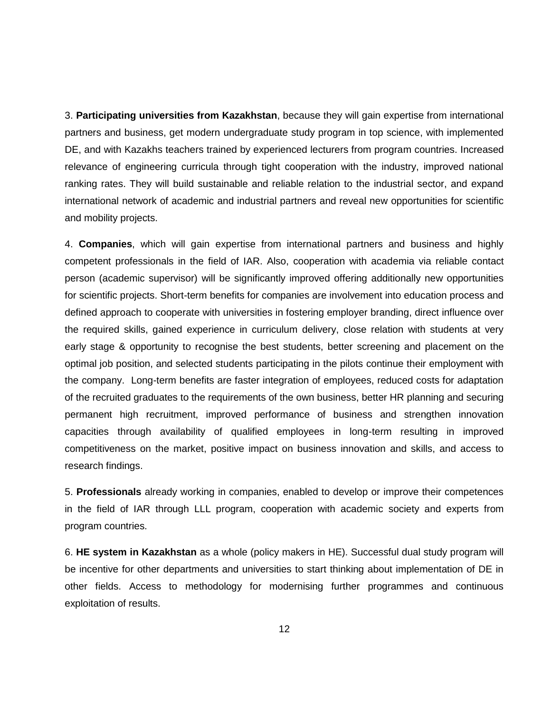3. **Participating universities from Kazakhstan**, because they will gain expertise from international partners and business, get modern undergraduate study program in top science, with implemented DE, and with Kazakhs teachers trained by experienced lecturers from program countries. Increased relevance of engineering curricula through tight cooperation with the industry, improved national ranking rates. They will build sustainable and reliable relation to the industrial sector, and expand international network of academic and industrial partners and reveal new opportunities for scientific and mobility projects.

4. **Companies**, which will gain expertise from international partners and business and highly competent professionals in the field of IAR. Also, cooperation with academia via reliable contact person (academic supervisor) will be significantly improved offering additionally new opportunities for scientific projects. Short-term benefits for companies are involvement into education process and defined approach to cooperate with universities in fostering employer branding, direct influence over the required skills, gained experience in curriculum delivery, close relation with students at very early stage & opportunity to recognise the best students, better screening and placement on the optimal job position, and selected students participating in the pilots continue their employment with the company. Long-term benefits are faster integration of employees, reduced costs for adaptation of the recruited graduates to the requirements of the own business, better HR planning and securing permanent high recruitment, improved performance of business and strengthen innovation capacities through availability of qualified employees in long-term resulting in improved competitiveness on the market, positive impact on business innovation and skills, and access to research findings.

5. **Professionals** already working in companies, enabled to develop or improve their competences in the field of IAR through LLL program, cooperation with academic society and experts from program countries.

6. **HE system in Kazakhstan** as a whole (policy makers in HE). Successful dual study program will be incentive for other departments and universities to start thinking about implementation of DE in other fields. Access to methodology for modernising further programmes and continuous exploitation of results.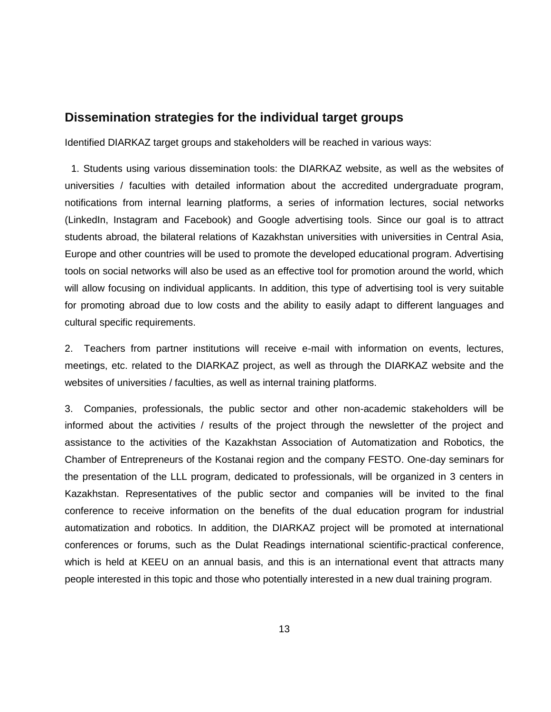#### <span id="page-12-0"></span>**Dissemination strategies for the individual target groups**

Identified DIARKAZ target groups and stakeholders will be reached in various ways:

1. Students using various dissemination tools: the DIARKAZ website, as well as the websites of universities / faculties with detailed information about the accredited undergraduate program, notifications from internal learning platforms, a series of information lectures, social networks (LinkedIn, Instagram and Facebook) and Google advertising tools. Since our goal is to attract students abroad, the bilateral relations of Kazakhstan universities with universities in Central Asia, Europe and other countries will be used to promote the developed educational program. Advertising tools on social networks will also be used as an effective tool for promotion around the world, which will allow focusing on individual applicants. In addition, this type of advertising tool is very suitable for promoting abroad due to low costs and the ability to easily adapt to different languages and cultural specific requirements.

2. Teachers from partner institutions will receive e-mail with information on events, lectures, meetings, etc. related to the DIARKAZ project, as well as through the DIARKAZ website and the websites of universities / faculties, as well as internal training platforms.

3. Companies, professionals, the public sector and other non-academic stakeholders will be informed about the activities / results of the project through the newsletter of the project and assistance to the activities of the Kazakhstan Association of Automatization and Robotics, the Chamber of Entrepreneurs of the Kostanai region and the company FESTO. One-day seminars for the presentation of the LLL program, dedicated to professionals, will be organized in 3 centers in Kazakhstan. Representatives of the public sector and companies will be invited to the final conference to receive information on the benefits of the dual education program for industrial automatization and robotics. In addition, the DIARKAZ project will be promoted at international conferences or forums, such as the Dulat Readings international scientific-practical conference, which is held at KEEU on an annual basis, and this is an international event that attracts many people interested in this topic and those who potentially interested in a new dual training program.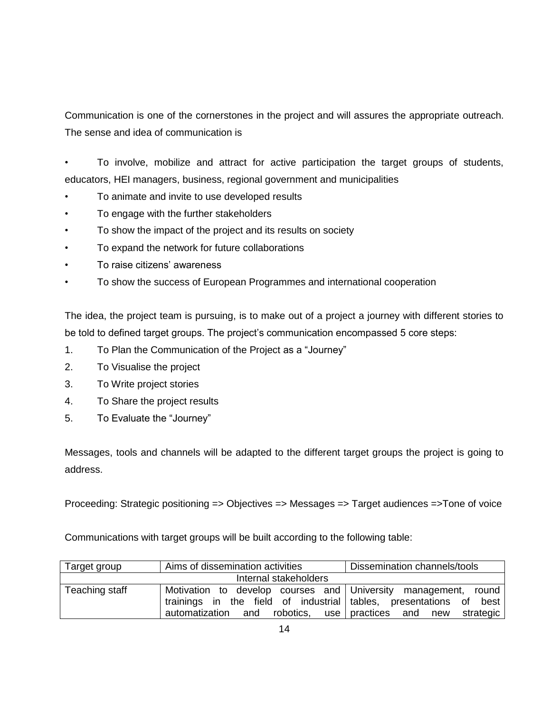Communication is one of the cornerstones in the project and will assures the appropriate outreach. The sense and idea of communication is

• To involve, mobilize and attract for active participation the target groups of students, educators, HEI managers, business, regional government and municipalities

- To animate and invite to use developed results
- To engage with the further stakeholders
- To show the impact of the project and its results on society
- To expand the network for future collaborations
- To raise citizens' awareness
- To show the success of European Programmes and international cooperation

The idea, the project team is pursuing, is to make out of a project a journey with different stories to be told to defined target groups. The project's communication encompassed 5 core steps:

- 1. To Plan the Communication of the Project as a "Journey"
- 2. To Visualise the project
- 3. To Write project stories
- 4. To Share the project results
- 5. To Evaluate the "Journey"

Messages, tools and channels will be adapted to the different target groups the project is going to address.

Proceeding: Strategic positioning => Objectives => Messages => Target audiences =>Tone of voice

Communications with target groups will be built according to the following table:

| Target group          | Aims of dissemination activities                               | Dissemination channels/tools                 |  |  |
|-----------------------|----------------------------------------------------------------|----------------------------------------------|--|--|
| Internal stakeholders |                                                                |                                              |  |  |
| Teaching staff        | Motivation to develop courses and University management, round |                                              |  |  |
|                       | trainings in the field of industrial tables, presentations of  | best                                         |  |  |
|                       | automatization and                                             | robotics, use practices and<br>new strategic |  |  |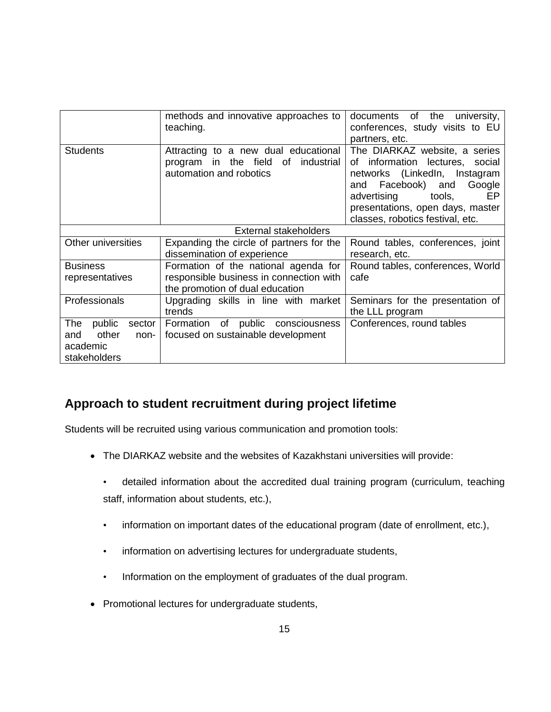|                                                                                                                                                          | methods and innovative approaches to<br>teaching.                          | of<br>the<br>university,<br>documents<br>conferences, study visits to EU<br>partners, etc.                                                                                                                                                    |  |
|----------------------------------------------------------------------------------------------------------------------------------------------------------|----------------------------------------------------------------------------|-----------------------------------------------------------------------------------------------------------------------------------------------------------------------------------------------------------------------------------------------|--|
| Attracting to a new dual educational<br><b>Students</b><br>industrial<br>the field<br>of<br>program<br>in<br>automation and robotics                     |                                                                            | The DIARKAZ website, a series<br>information lectures, social<br>of<br>networks (LinkedIn, Instagram<br>Facebook) and<br>Google<br>and<br>EР<br>advertising<br>tools,<br>presentations, open days, master<br>classes, robotics festival, etc. |  |
| External stakeholders                                                                                                                                    |                                                                            |                                                                                                                                                                                                                                               |  |
| Other universities                                                                                                                                       | Expanding the circle of partners for the                                   | Round tables, conferences, joint                                                                                                                                                                                                              |  |
|                                                                                                                                                          | dissemination of experience                                                | research, etc.                                                                                                                                                                                                                                |  |
| Formation of the national agenda for<br><b>Business</b><br>responsible business in connection with<br>representatives<br>the promotion of dual education |                                                                            | Round tables, conferences, World<br>cafe                                                                                                                                                                                                      |  |
| Professionals<br>Upgrading skills in line with market<br>trends                                                                                          |                                                                            | Seminars for the presentation of<br>the LLL program                                                                                                                                                                                           |  |
| The<br>public<br>sector<br>other<br>and<br>non-<br>academic<br>stakeholders                                                                              | of public consciousness<br>Formation<br>focused on sustainable development | Conferences, round tables                                                                                                                                                                                                                     |  |

## <span id="page-14-0"></span>**Approach to student recruitment during project lifetime**

Students will be recruited using various communication and promotion tools:

- The DIARKAZ website and the websites of Kazakhstani universities will provide:
	- detailed information about the accredited dual training program (curriculum, teaching staff, information about students, etc.),
	- information on important dates of the educational program (date of enrollment, etc.),
	- information on advertising lectures for undergraduate students,
	- Information on the employment of graduates of the dual program.
- Promotional lectures for undergraduate students,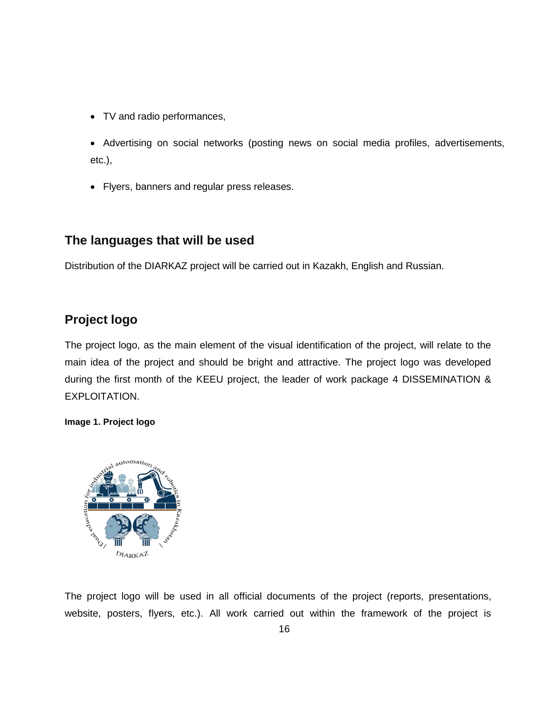- TV and radio performances,
- Advertising on social networks (posting news on social media profiles, advertisements, etc.),
- Flyers, banners and regular press releases.

## <span id="page-15-0"></span>**The languages that will be used**

Distribution of the DIARKAZ project will be carried out in Kazakh, English and Russian.

## <span id="page-15-1"></span>**Project logo**

The project logo, as the main element of the visual identification of the project, will relate to the main idea of the project and should be bright and attractive. The project logo was developed during the first month of the KEEU project, the leader of work package 4 DISSEMINATION & EXPLOITATION.

#### **Image 1. Project logo**



The project logo will be used in all official documents of the project (reports, presentations, website, posters, flyers, etc.). All work carried out within the framework of the project is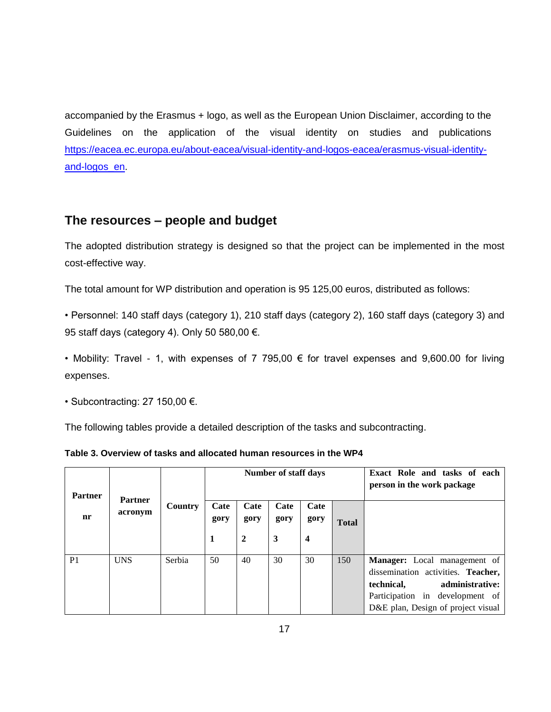accompanied by the Erasmus + logo, as well as the European Union Disclaimer, according to the Guidelines on the application of the visual identity on studies and publications [https://eacea.ec.europa.eu/about-eacea/visual-identity-and-logos-eacea/erasmus-visual-identity](https://eacea.ec.europa.eu/about-eacea/visual-identity-and-logos-eacea/erasmus-visual-identity-and-logos_en)[and-logos\\_en.](https://eacea.ec.europa.eu/about-eacea/visual-identity-and-logos-eacea/erasmus-visual-identity-and-logos_en)

## <span id="page-16-0"></span>**The resources – people and budget**

The adopted distribution strategy is designed so that the project can be implemented in the most cost-effective way.

The total amount for WP distribution and operation is 95 125,00 euros, distributed as follows:

• Personnel: 140 staff days (category 1), 210 staff days (category 2), 160 staff days (category 3) and 95 staff days (category 4). Only 50 580,00 €.

• Mobility: Travel - 1, with expenses of 7 795,00  $\epsilon$  for travel expenses and 9,600.00 for living expenses.

• Subcontracting: 27 150,00 €.

The following tables provide a detailed description of the tasks and subcontracting.

|  | Table 3. Overview of tasks and allocated human resources in the WP4 |  |  |
|--|---------------------------------------------------------------------|--|--|
|--|---------------------------------------------------------------------|--|--|

| <b>Partner</b> | <b>Partner</b> |         | <b>Number of staff days</b> |                  |              |                         | Exact Role and tasks of each<br>person in the work package |                                     |
|----------------|----------------|---------|-----------------------------|------------------|--------------|-------------------------|------------------------------------------------------------|-------------------------------------|
| acronym<br>nr  |                | Country | Cate<br>gory                | Cate<br>gory     | Cate<br>gory | Cate<br>gory            | <b>Total</b>                                               |                                     |
|                |                |         | 1                           | $\boldsymbol{2}$ | 3            | $\overline{\mathbf{4}}$ |                                                            |                                     |
|                |                |         |                             |                  |              |                         |                                                            |                                     |
| P <sub>1</sub> | <b>UNS</b>     | Serbia  | 50                          | 40               | 30           | 30                      | 150                                                        | <b>Manager:</b> Local management of |
|                |                |         |                             |                  |              |                         |                                                            | dissemination activities. Teacher,  |
|                |                |         |                             |                  |              |                         |                                                            | administrative:<br>technical,       |
|                |                |         |                             |                  |              |                         |                                                            | Participation in development of     |
|                |                |         |                             |                  |              |                         |                                                            | D&E plan, Design of project visual  |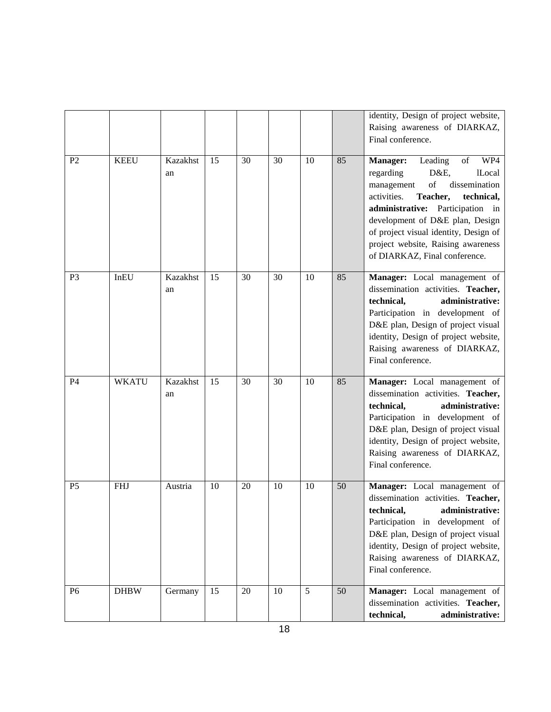|                |              |                       |    |        |    |    |    | identity, Design of project website,<br>Raising awareness of DIARKAZ,<br>Final conference.                                                                                                                                                                                                                                                                                                                                                  |
|----------------|--------------|-----------------------|----|--------|----|----|----|---------------------------------------------------------------------------------------------------------------------------------------------------------------------------------------------------------------------------------------------------------------------------------------------------------------------------------------------------------------------------------------------------------------------------------------------|
| P <sub>2</sub> | <b>KEEU</b>  | <b>Kazakhst</b><br>an | 15 | 30     | 30 | 10 | 85 | Manager:<br>Leading<br>of<br>WP4<br>regarding<br>D&E,<br><b>lLocal</b><br>$% \left( \left( \mathcal{A},\mathcal{A}\right) \right) =\left( \mathcal{A},\mathcal{A}\right)$ of<br>dissemination<br>management<br>activities.<br>Teacher,<br>technical,<br>administrative: Participation in<br>development of D&E plan, Design<br>of project visual identity, Design of<br>project website, Raising awareness<br>of DIARKAZ, Final conference. |
| P <sub>3</sub> | InEU         | Kazakhst<br>an        | 15 | 30     | 30 | 10 | 85 | Manager: Local management of<br>dissemination activities. Teacher,<br>technical,<br>administrative:<br>Participation in development of<br>D&E plan, Design of project visual<br>identity, Design of project website,<br>Raising awareness of DIARKAZ,<br>Final conference.                                                                                                                                                                  |
| P <sub>4</sub> | <b>WKATU</b> | <b>Kazakhst</b><br>an | 15 | 30     | 30 | 10 | 85 | Manager: Local management of<br>dissemination activities. Teacher,<br>administrative:<br>technical,<br>Participation in development of<br>D&E plan, Design of project visual<br>identity, Design of project website,<br>Raising awareness of DIARKAZ,<br>Final conference.                                                                                                                                                                  |
| P <sub>5</sub> | <b>FHJ</b>   | Austria               | 10 | 20     | 10 | 10 | 50 | Manager: Local management of<br>dissemination activities. Teacher,<br>technical, administrative:<br>Participation in development of<br>D&E plan, Design of project visual<br>identity, Design of project website,<br>Raising awareness of DIARKAZ,<br>Final conference.                                                                                                                                                                     |
| P <sub>6</sub> | <b>DHBW</b>  | Germany               | 15 | $20\,$ | 10 | 5  | 50 | Manager: Local management of<br>dissemination activities. Teacher,<br>technical,<br>administrative:                                                                                                                                                                                                                                                                                                                                         |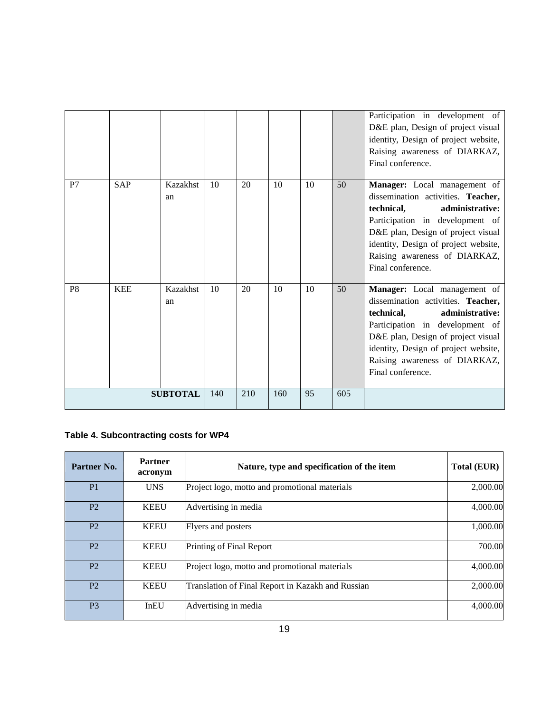|                 |            |                |     |     |     |    |     | Participation in development of<br>D&E plan, Design of project visual<br>identity, Design of project website,<br>Raising awareness of DIARKAZ,<br>Final conference.                                                                                                               |
|-----------------|------------|----------------|-----|-----|-----|----|-----|-----------------------------------------------------------------------------------------------------------------------------------------------------------------------------------------------------------------------------------------------------------------------------------|
| P7              | <b>SAP</b> | Kazakhst<br>an | 10  | 20  | 10  | 10 | 50  | Manager: Local management of<br>dissemination activities. Teacher,<br>technical,<br>administrative:<br>Participation in development of<br>D&E plan, Design of project visual<br>identity, Design of project website,<br>Raising awareness of DIARKAZ,<br>Final conference.        |
| P <sub>8</sub>  | <b>KEE</b> | Kazakhst<br>an | 10  | 20  | 10  | 10 | 50  | <b>Manager:</b> Local management of<br>dissemination activities. Teacher,<br>administrative:<br>technical.<br>Participation in development of<br>D&E plan, Design of project visual<br>identity, Design of project website,<br>Raising awareness of DIARKAZ,<br>Final conference. |
| <b>SUBTOTAL</b> |            |                | 140 | 210 | 160 | 95 | 605 |                                                                                                                                                                                                                                                                                   |

## **Table 4. Subcontracting costs for WP4**

| Partner No.    | <b>Partner</b><br>acronym | Nature, type and specification of the item        | <b>Total (EUR)</b> |
|----------------|---------------------------|---------------------------------------------------|--------------------|
| P <sub>1</sub> | <b>UNS</b>                | Project logo, motto and promotional materials     | 2,000.00           |
| P <sub>2</sub> | <b>KEEU</b>               | Advertising in media                              | 4,000.00           |
| P <sub>2</sub> | <b>KEEU</b>               | <b>Flyers and posters</b>                         | 1,000.00           |
| P <sub>2</sub> | <b>KEEU</b>               | Printing of Final Report                          | 700.00             |
| P <sub>2</sub> | <b>KEEU</b>               | Project logo, motto and promotional materials     | 4,000.00           |
| P <sub>2</sub> | <b>KEEU</b>               | Translation of Final Report in Kazakh and Russian | 2,000.00           |
| P <sub>3</sub> | InEU                      | Advertising in media                              | 4,000.00           |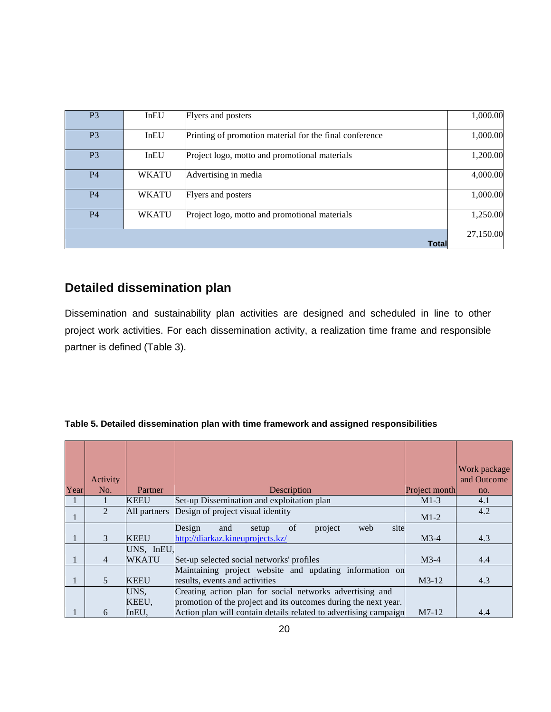| P <sub>3</sub> | InEU         | Flyers and posters                                      | 1,000.00  |
|----------------|--------------|---------------------------------------------------------|-----------|
| P <sub>3</sub> | InEU         | Printing of promotion material for the final conference | 1,000.00  |
| P <sub>3</sub> | InEU         | Project logo, motto and promotional materials           | 1,200.00  |
| P <sub>4</sub> | <b>WKATU</b> | Advertising in media                                    | 4,000.00  |
| P <sub>4</sub> | <b>WKATU</b> | Flyers and posters                                      | 1,000.00  |
| P <sub>4</sub> | <b>WKATU</b> | Project logo, motto and promotional materials           | 1,250.00  |
|                |              | <b>Total</b>                                            | 27,150.00 |

## <span id="page-19-0"></span>**Detailed dissemination plan**

Dissemination and sustainability plan activities are designed and scheduled in line to other project work activities. For each dissemination activity, a realization time frame and responsible partner is defined (Table 3).

#### **Table 5. Detailed dissemination plan with time framework and assigned responsibilities**

|      |                |              |                                                                  |               | Work package |
|------|----------------|--------------|------------------------------------------------------------------|---------------|--------------|
|      | Activity       |              |                                                                  |               | and Outcome  |
| Year | No.            | Partner      | Description                                                      | Project month | no.          |
|      |                | <b>KEEU</b>  | Set-up Dissemination and exploitation plan                       | $M1-3$        | 4.1          |
|      | $\mathfrak{D}$ | All partners | Design of project visual identity                                | $M1-2$        | 4.2          |
|      |                |              | of<br>site<br>Design<br>project<br>web<br>and<br>setup           |               |              |
|      | $\mathcal{E}$  | <b>KEEU</b>  | http://diarkaz.kineuprojects.kz/                                 | $M3-4$        | 4.3          |
|      |                | UNS, InEU,   |                                                                  |               |              |
|      | $\overline{4}$ | WKATU        | Set-up selected social networks' profiles                        | $M3-4$        | 4.4          |
|      |                |              | Maintaining project website and updating information on          |               |              |
|      | 5              | <b>KEEU</b>  | results, events and activities                                   | $M3-12$       | 4.3          |
|      |                | UNS.         | Creating action plan for social networks advertising and         |               |              |
|      |                | KEEU,        | promotion of the project and its outcomes during the next year.  |               |              |
|      | 6              | InEU,        | Action plan will contain details related to advertising campaign | $M7-12$       | 4.4          |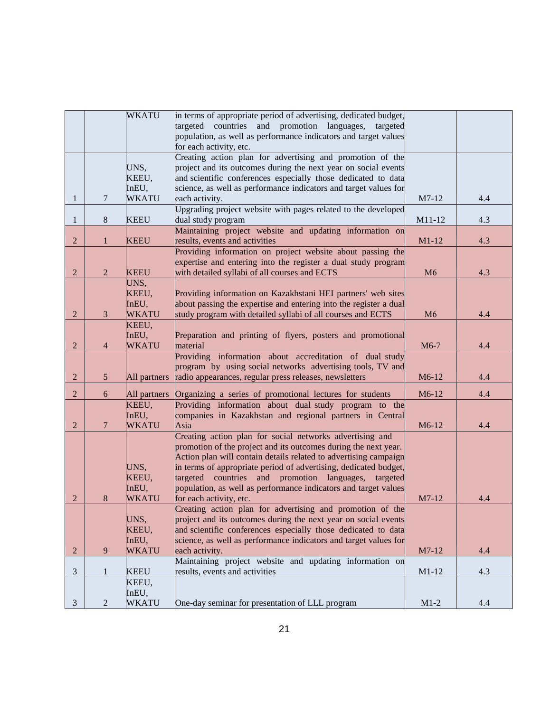|                |                | <b>WKATU</b>   | in terms of appropriate period of advertising, dedicated budget,                                                                  |         |     |
|----------------|----------------|----------------|-----------------------------------------------------------------------------------------------------------------------------------|---------|-----|
|                |                |                | targeted countries and promotion languages,<br>targeted                                                                           |         |     |
|                |                |                | population, as well as performance indicators and target values                                                                   |         |     |
|                |                |                | for each activity, etc.                                                                                                           |         |     |
|                |                |                | Creating action plan for advertising and promotion of the                                                                         |         |     |
|                |                | UNS,<br>KEEU,  | project and its outcomes during the next year on social events<br>and scientific conferences especially those dedicated to data   |         |     |
|                |                | InEU,          | science, as well as performance indicators and target values for                                                                  |         |     |
| $\mathbf{1}$   | $\overline{7}$ | <b>WKATU</b>   | each activity.                                                                                                                    | M7-12   | 4.4 |
|                |                |                | Upgrading project website with pages related to the developed                                                                     |         |     |
| $\mathbf{1}$   | 8              | <b>KEEU</b>    | dual study program                                                                                                                | M11-12  | 4.3 |
|                |                |                | Maintaining project website and updating information on                                                                           |         |     |
| $\overline{2}$ | $\mathbf{1}$   | <b>KEEU</b>    | results, events and activities                                                                                                    | $M1-12$ | 4.3 |
|                |                |                | Providing information on project website about passing the                                                                        |         |     |
|                |                |                | expertise and entering into the register a dual study program                                                                     |         |     |
| $\overline{2}$ | $\overline{2}$ | <b>KEEU</b>    | with detailed syllabi of all courses and ECTS                                                                                     | M6      | 4.3 |
|                |                | UNS,           |                                                                                                                                   |         |     |
|                |                | KEEU,          | Providing information on Kazakhstani HEI partners' web sites                                                                      |         |     |
|                |                | InEU,          | about passing the expertise and entering into the register a dual                                                                 |         |     |
| $\overline{2}$ | $\mathfrak{Z}$ | <b>WKATU</b>   | study program with detailed syllabi of all courses and ECTS                                                                       | M6      | 4.4 |
|                |                | KEEU,<br>InEU, | Preparation and printing of flyers, posters and promotional                                                                       |         |     |
| $\overline{2}$ | $\overline{4}$ | <b>WKATU</b>   | material                                                                                                                          | M6-7    | 4.4 |
|                |                |                | Providing information about accreditation of dual study                                                                           |         |     |
|                |                |                | program by using social networks advertising tools, TV and                                                                        |         |     |
| $\overline{2}$ | 5 <sup>5</sup> | All partners   | radio appearances, regular press releases, newsletters                                                                            | M6-12   | 4.4 |
| $\overline{2}$ | 6              | All partners   | Organizing a series of promotional lectures for students                                                                          | M6-12   | 4.4 |
|                |                | KEEU,          | Providing information about dual study program to the                                                                             |         |     |
|                |                | InEU,          | companies in Kazakhstan and regional partners in Central                                                                          |         |     |
| $\overline{2}$ | $\tau$         | <b>WKATU</b>   | Asia                                                                                                                              | M6-12   | 4.4 |
|                |                |                | Creating action plan for social networks advertising and                                                                          |         |     |
|                |                |                | promotion of the project and its outcomes during the next year.                                                                   |         |     |
|                |                |                | Action plan will contain details related to advertising campaign                                                                  |         |     |
|                |                | UNS,           | in terms of appropriate period of advertising, dedicated budget,                                                                  |         |     |
|                |                | KEEU,          | targeted countries and promotion languages,<br>targeted                                                                           |         |     |
|                |                | InEU,          | population, as well as performance indicators and target values                                                                   |         |     |
| 2              | 8              | <b>WKATU</b>   | for each activity, etc.                                                                                                           | M7-12   | 4.4 |
|                |                |                | Creating action plan for advertising and promotion of the                                                                         |         |     |
|                |                | UNS,           | project and its outcomes during the next year on social events                                                                    |         |     |
|                |                | KEEU,<br>InEU, | and scientific conferences especially those dedicated to data<br>science, as well as performance indicators and target values for |         |     |
| 2              | 9              | <b>WKATU</b>   | each activity.                                                                                                                    | M7-12   | 4.4 |
|                |                |                | Maintaining project website and updating information on                                                                           |         |     |
| 3              | 1              | <b>KEEU</b>    | results, events and activities                                                                                                    | $M1-12$ | 4.3 |
|                |                | KEEU,          |                                                                                                                                   |         |     |
|                |                | InEU,          |                                                                                                                                   |         |     |
| 3              | $\overline{2}$ | <b>WKATU</b>   | One-day seminar for presentation of LLL program                                                                                   | $M1-2$  | 4.4 |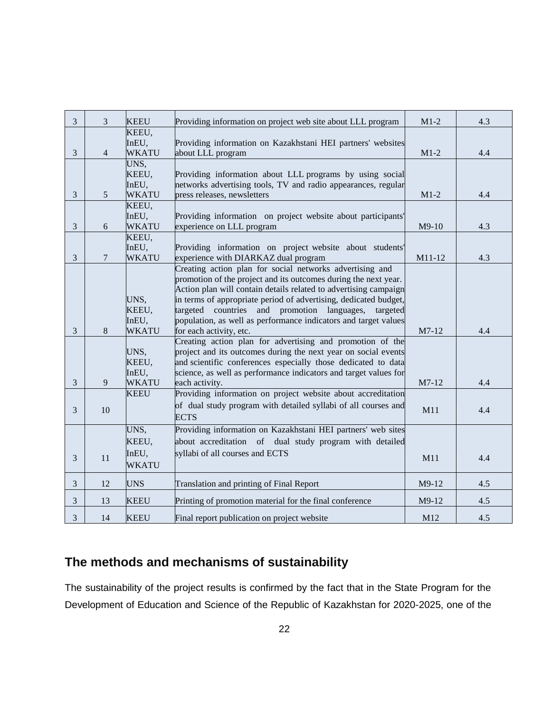| $\mathfrak{Z}$<br>3<br><b>KEEU</b><br>$M1-2$<br>4.3<br>Providing information on project web site about LLL program<br>KEEU,<br>InEU,<br>Providing information on Kazakhstani HEI partners' websites<br>$\mathfrak{Z}$<br><b>WKATU</b><br>$M1-2$<br>$\overline{4}$<br>about LLL program<br>4.4<br>UNS,<br>KEEU,<br>Providing information about LLL programs by using social<br>networks advertising tools, TV and radio appearances, regular<br>InEU,<br>5<br><b>WKATU</b><br>press releases, newsletters<br>3<br>$M1-2$<br>4.4<br>KEEU,<br>InEU,<br>Providing information on project website about participants'<br>3<br><b>WKATU</b><br>experience on LLL program<br>$M9-10$<br>4.3<br>6<br>KEEU,<br>InEU,<br>Providing information on project website about students'<br>3<br><b>WKATU</b><br>experience with DIARKAZ dual program<br>M11-12<br>4.3<br>$\overline{7}$<br>Creating action plan for social networks advertising and<br>promotion of the project and its outcomes during the next year.<br>Action plan will contain details related to advertising campaign<br>in terms of appropriate period of advertising, dedicated budget,<br>UNS,<br>KEEU,<br>targeted countries and<br>promotion languages,<br>targeted<br>population, as well as performance indicators and target values<br>InEU,<br>8<br><b>WKATU</b><br>M7-12<br>3<br>for each activity, etc.<br>4.4<br>Creating action plan for advertising and promotion of the<br>UNS,<br>project and its outcomes during the next year on social events<br>KEEU,<br>and scientific conferences especially those dedicated to data<br>InEU,<br>science, as well as performance indicators and target values for<br>3<br>9<br><b>WKATU</b><br>M7-12<br>each activity.<br>4.4<br>Providing information on project website about accreditation<br><b>KEEU</b><br>of dual study program with detailed syllabi of all courses and<br>3<br>10<br>M11<br>4.4<br><b>ECTS</b><br>UNS,<br>Providing information on Kazakhstani HEI partners' web sites<br>KEEU,<br>about accreditation of dual study program with detailed<br>InEU,<br>syllabi of all courses and ECTS<br>3<br>11<br>4.4<br>M11<br><b>WKATU</b><br>$\mathfrak{Z}$<br>12<br><b>UNS</b><br>M9-12<br>Translation and printing of Final Report<br>4.5<br>3<br><b>KEEU</b><br>Printing of promotion material for the final conference<br>13<br>M9-12<br>4.5<br>3<br><b>KEEU</b><br>M12<br>4.5<br>14<br>Final report publication on project website |  |  |  |
|------------------------------------------------------------------------------------------------------------------------------------------------------------------------------------------------------------------------------------------------------------------------------------------------------------------------------------------------------------------------------------------------------------------------------------------------------------------------------------------------------------------------------------------------------------------------------------------------------------------------------------------------------------------------------------------------------------------------------------------------------------------------------------------------------------------------------------------------------------------------------------------------------------------------------------------------------------------------------------------------------------------------------------------------------------------------------------------------------------------------------------------------------------------------------------------------------------------------------------------------------------------------------------------------------------------------------------------------------------------------------------------------------------------------------------------------------------------------------------------------------------------------------------------------------------------------------------------------------------------------------------------------------------------------------------------------------------------------------------------------------------------------------------------------------------------------------------------------------------------------------------------------------------------------------------------------------------------------------------------------------------------------------------------------------------------------------------------------------------------------------------------------------------------------------------------------------------------------------------------------------------------------------------------------------------------------------------------------------------------------------------------------------------------------------------------------------------------|--|--|--|
|                                                                                                                                                                                                                                                                                                                                                                                                                                                                                                                                                                                                                                                                                                                                                                                                                                                                                                                                                                                                                                                                                                                                                                                                                                                                                                                                                                                                                                                                                                                                                                                                                                                                                                                                                                                                                                                                                                                                                                                                                                                                                                                                                                                                                                                                                                                                                                                                                                                                  |  |  |  |
|                                                                                                                                                                                                                                                                                                                                                                                                                                                                                                                                                                                                                                                                                                                                                                                                                                                                                                                                                                                                                                                                                                                                                                                                                                                                                                                                                                                                                                                                                                                                                                                                                                                                                                                                                                                                                                                                                                                                                                                                                                                                                                                                                                                                                                                                                                                                                                                                                                                                  |  |  |  |
|                                                                                                                                                                                                                                                                                                                                                                                                                                                                                                                                                                                                                                                                                                                                                                                                                                                                                                                                                                                                                                                                                                                                                                                                                                                                                                                                                                                                                                                                                                                                                                                                                                                                                                                                                                                                                                                                                                                                                                                                                                                                                                                                                                                                                                                                                                                                                                                                                                                                  |  |  |  |
|                                                                                                                                                                                                                                                                                                                                                                                                                                                                                                                                                                                                                                                                                                                                                                                                                                                                                                                                                                                                                                                                                                                                                                                                                                                                                                                                                                                                                                                                                                                                                                                                                                                                                                                                                                                                                                                                                                                                                                                                                                                                                                                                                                                                                                                                                                                                                                                                                                                                  |  |  |  |
|                                                                                                                                                                                                                                                                                                                                                                                                                                                                                                                                                                                                                                                                                                                                                                                                                                                                                                                                                                                                                                                                                                                                                                                                                                                                                                                                                                                                                                                                                                                                                                                                                                                                                                                                                                                                                                                                                                                                                                                                                                                                                                                                                                                                                                                                                                                                                                                                                                                                  |  |  |  |
|                                                                                                                                                                                                                                                                                                                                                                                                                                                                                                                                                                                                                                                                                                                                                                                                                                                                                                                                                                                                                                                                                                                                                                                                                                                                                                                                                                                                                                                                                                                                                                                                                                                                                                                                                                                                                                                                                                                                                                                                                                                                                                                                                                                                                                                                                                                                                                                                                                                                  |  |  |  |
|                                                                                                                                                                                                                                                                                                                                                                                                                                                                                                                                                                                                                                                                                                                                                                                                                                                                                                                                                                                                                                                                                                                                                                                                                                                                                                                                                                                                                                                                                                                                                                                                                                                                                                                                                                                                                                                                                                                                                                                                                                                                                                                                                                                                                                                                                                                                                                                                                                                                  |  |  |  |
|                                                                                                                                                                                                                                                                                                                                                                                                                                                                                                                                                                                                                                                                                                                                                                                                                                                                                                                                                                                                                                                                                                                                                                                                                                                                                                                                                                                                                                                                                                                                                                                                                                                                                                                                                                                                                                                                                                                                                                                                                                                                                                                                                                                                                                                                                                                                                                                                                                                                  |  |  |  |
|                                                                                                                                                                                                                                                                                                                                                                                                                                                                                                                                                                                                                                                                                                                                                                                                                                                                                                                                                                                                                                                                                                                                                                                                                                                                                                                                                                                                                                                                                                                                                                                                                                                                                                                                                                                                                                                                                                                                                                                                                                                                                                                                                                                                                                                                                                                                                                                                                                                                  |  |  |  |
|                                                                                                                                                                                                                                                                                                                                                                                                                                                                                                                                                                                                                                                                                                                                                                                                                                                                                                                                                                                                                                                                                                                                                                                                                                                                                                                                                                                                                                                                                                                                                                                                                                                                                                                                                                                                                                                                                                                                                                                                                                                                                                                                                                                                                                                                                                                                                                                                                                                                  |  |  |  |
|                                                                                                                                                                                                                                                                                                                                                                                                                                                                                                                                                                                                                                                                                                                                                                                                                                                                                                                                                                                                                                                                                                                                                                                                                                                                                                                                                                                                                                                                                                                                                                                                                                                                                                                                                                                                                                                                                                                                                                                                                                                                                                                                                                                                                                                                                                                                                                                                                                                                  |  |  |  |
|                                                                                                                                                                                                                                                                                                                                                                                                                                                                                                                                                                                                                                                                                                                                                                                                                                                                                                                                                                                                                                                                                                                                                                                                                                                                                                                                                                                                                                                                                                                                                                                                                                                                                                                                                                                                                                                                                                                                                                                                                                                                                                                                                                                                                                                                                                                                                                                                                                                                  |  |  |  |
|                                                                                                                                                                                                                                                                                                                                                                                                                                                                                                                                                                                                                                                                                                                                                                                                                                                                                                                                                                                                                                                                                                                                                                                                                                                                                                                                                                                                                                                                                                                                                                                                                                                                                                                                                                                                                                                                                                                                                                                                                                                                                                                                                                                                                                                                                                                                                                                                                                                                  |  |  |  |
|                                                                                                                                                                                                                                                                                                                                                                                                                                                                                                                                                                                                                                                                                                                                                                                                                                                                                                                                                                                                                                                                                                                                                                                                                                                                                                                                                                                                                                                                                                                                                                                                                                                                                                                                                                                                                                                                                                                                                                                                                                                                                                                                                                                                                                                                                                                                                                                                                                                                  |  |  |  |
|                                                                                                                                                                                                                                                                                                                                                                                                                                                                                                                                                                                                                                                                                                                                                                                                                                                                                                                                                                                                                                                                                                                                                                                                                                                                                                                                                                                                                                                                                                                                                                                                                                                                                                                                                                                                                                                                                                                                                                                                                                                                                                                                                                                                                                                                                                                                                                                                                                                                  |  |  |  |
|                                                                                                                                                                                                                                                                                                                                                                                                                                                                                                                                                                                                                                                                                                                                                                                                                                                                                                                                                                                                                                                                                                                                                                                                                                                                                                                                                                                                                                                                                                                                                                                                                                                                                                                                                                                                                                                                                                                                                                                                                                                                                                                                                                                                                                                                                                                                                                                                                                                                  |  |  |  |
|                                                                                                                                                                                                                                                                                                                                                                                                                                                                                                                                                                                                                                                                                                                                                                                                                                                                                                                                                                                                                                                                                                                                                                                                                                                                                                                                                                                                                                                                                                                                                                                                                                                                                                                                                                                                                                                                                                                                                                                                                                                                                                                                                                                                                                                                                                                                                                                                                                                                  |  |  |  |
|                                                                                                                                                                                                                                                                                                                                                                                                                                                                                                                                                                                                                                                                                                                                                                                                                                                                                                                                                                                                                                                                                                                                                                                                                                                                                                                                                                                                                                                                                                                                                                                                                                                                                                                                                                                                                                                                                                                                                                                                                                                                                                                                                                                                                                                                                                                                                                                                                                                                  |  |  |  |
|                                                                                                                                                                                                                                                                                                                                                                                                                                                                                                                                                                                                                                                                                                                                                                                                                                                                                                                                                                                                                                                                                                                                                                                                                                                                                                                                                                                                                                                                                                                                                                                                                                                                                                                                                                                                                                                                                                                                                                                                                                                                                                                                                                                                                                                                                                                                                                                                                                                                  |  |  |  |
|                                                                                                                                                                                                                                                                                                                                                                                                                                                                                                                                                                                                                                                                                                                                                                                                                                                                                                                                                                                                                                                                                                                                                                                                                                                                                                                                                                                                                                                                                                                                                                                                                                                                                                                                                                                                                                                                                                                                                                                                                                                                                                                                                                                                                                                                                                                                                                                                                                                                  |  |  |  |
|                                                                                                                                                                                                                                                                                                                                                                                                                                                                                                                                                                                                                                                                                                                                                                                                                                                                                                                                                                                                                                                                                                                                                                                                                                                                                                                                                                                                                                                                                                                                                                                                                                                                                                                                                                                                                                                                                                                                                                                                                                                                                                                                                                                                                                                                                                                                                                                                                                                                  |  |  |  |
|                                                                                                                                                                                                                                                                                                                                                                                                                                                                                                                                                                                                                                                                                                                                                                                                                                                                                                                                                                                                                                                                                                                                                                                                                                                                                                                                                                                                                                                                                                                                                                                                                                                                                                                                                                                                                                                                                                                                                                                                                                                                                                                                                                                                                                                                                                                                                                                                                                                                  |  |  |  |
|                                                                                                                                                                                                                                                                                                                                                                                                                                                                                                                                                                                                                                                                                                                                                                                                                                                                                                                                                                                                                                                                                                                                                                                                                                                                                                                                                                                                                                                                                                                                                                                                                                                                                                                                                                                                                                                                                                                                                                                                                                                                                                                                                                                                                                                                                                                                                                                                                                                                  |  |  |  |
|                                                                                                                                                                                                                                                                                                                                                                                                                                                                                                                                                                                                                                                                                                                                                                                                                                                                                                                                                                                                                                                                                                                                                                                                                                                                                                                                                                                                                                                                                                                                                                                                                                                                                                                                                                                                                                                                                                                                                                                                                                                                                                                                                                                                                                                                                                                                                                                                                                                                  |  |  |  |
|                                                                                                                                                                                                                                                                                                                                                                                                                                                                                                                                                                                                                                                                                                                                                                                                                                                                                                                                                                                                                                                                                                                                                                                                                                                                                                                                                                                                                                                                                                                                                                                                                                                                                                                                                                                                                                                                                                                                                                                                                                                                                                                                                                                                                                                                                                                                                                                                                                                                  |  |  |  |
|                                                                                                                                                                                                                                                                                                                                                                                                                                                                                                                                                                                                                                                                                                                                                                                                                                                                                                                                                                                                                                                                                                                                                                                                                                                                                                                                                                                                                                                                                                                                                                                                                                                                                                                                                                                                                                                                                                                                                                                                                                                                                                                                                                                                                                                                                                                                                                                                                                                                  |  |  |  |
|                                                                                                                                                                                                                                                                                                                                                                                                                                                                                                                                                                                                                                                                                                                                                                                                                                                                                                                                                                                                                                                                                                                                                                                                                                                                                                                                                                                                                                                                                                                                                                                                                                                                                                                                                                                                                                                                                                                                                                                                                                                                                                                                                                                                                                                                                                                                                                                                                                                                  |  |  |  |
|                                                                                                                                                                                                                                                                                                                                                                                                                                                                                                                                                                                                                                                                                                                                                                                                                                                                                                                                                                                                                                                                                                                                                                                                                                                                                                                                                                                                                                                                                                                                                                                                                                                                                                                                                                                                                                                                                                                                                                                                                                                                                                                                                                                                                                                                                                                                                                                                                                                                  |  |  |  |
|                                                                                                                                                                                                                                                                                                                                                                                                                                                                                                                                                                                                                                                                                                                                                                                                                                                                                                                                                                                                                                                                                                                                                                                                                                                                                                                                                                                                                                                                                                                                                                                                                                                                                                                                                                                                                                                                                                                                                                                                                                                                                                                                                                                                                                                                                                                                                                                                                                                                  |  |  |  |
|                                                                                                                                                                                                                                                                                                                                                                                                                                                                                                                                                                                                                                                                                                                                                                                                                                                                                                                                                                                                                                                                                                                                                                                                                                                                                                                                                                                                                                                                                                                                                                                                                                                                                                                                                                                                                                                                                                                                                                                                                                                                                                                                                                                                                                                                                                                                                                                                                                                                  |  |  |  |
|                                                                                                                                                                                                                                                                                                                                                                                                                                                                                                                                                                                                                                                                                                                                                                                                                                                                                                                                                                                                                                                                                                                                                                                                                                                                                                                                                                                                                                                                                                                                                                                                                                                                                                                                                                                                                                                                                                                                                                                                                                                                                                                                                                                                                                                                                                                                                                                                                                                                  |  |  |  |
|                                                                                                                                                                                                                                                                                                                                                                                                                                                                                                                                                                                                                                                                                                                                                                                                                                                                                                                                                                                                                                                                                                                                                                                                                                                                                                                                                                                                                                                                                                                                                                                                                                                                                                                                                                                                                                                                                                                                                                                                                                                                                                                                                                                                                                                                                                                                                                                                                                                                  |  |  |  |
|                                                                                                                                                                                                                                                                                                                                                                                                                                                                                                                                                                                                                                                                                                                                                                                                                                                                                                                                                                                                                                                                                                                                                                                                                                                                                                                                                                                                                                                                                                                                                                                                                                                                                                                                                                                                                                                                                                                                                                                                                                                                                                                                                                                                                                                                                                                                                                                                                                                                  |  |  |  |
|                                                                                                                                                                                                                                                                                                                                                                                                                                                                                                                                                                                                                                                                                                                                                                                                                                                                                                                                                                                                                                                                                                                                                                                                                                                                                                                                                                                                                                                                                                                                                                                                                                                                                                                                                                                                                                                                                                                                                                                                                                                                                                                                                                                                                                                                                                                                                                                                                                                                  |  |  |  |
|                                                                                                                                                                                                                                                                                                                                                                                                                                                                                                                                                                                                                                                                                                                                                                                                                                                                                                                                                                                                                                                                                                                                                                                                                                                                                                                                                                                                                                                                                                                                                                                                                                                                                                                                                                                                                                                                                                                                                                                                                                                                                                                                                                                                                                                                                                                                                                                                                                                                  |  |  |  |
|                                                                                                                                                                                                                                                                                                                                                                                                                                                                                                                                                                                                                                                                                                                                                                                                                                                                                                                                                                                                                                                                                                                                                                                                                                                                                                                                                                                                                                                                                                                                                                                                                                                                                                                                                                                                                                                                                                                                                                                                                                                                                                                                                                                                                                                                                                                                                                                                                                                                  |  |  |  |
|                                                                                                                                                                                                                                                                                                                                                                                                                                                                                                                                                                                                                                                                                                                                                                                                                                                                                                                                                                                                                                                                                                                                                                                                                                                                                                                                                                                                                                                                                                                                                                                                                                                                                                                                                                                                                                                                                                                                                                                                                                                                                                                                                                                                                                                                                                                                                                                                                                                                  |  |  |  |

## <span id="page-21-0"></span>**The methods and mechanisms of sustainability**

The sustainability of the project results is confirmed by the fact that in the State Program for the Development of Education and Science of the Republic of Kazakhstan for 2020-2025, one of the